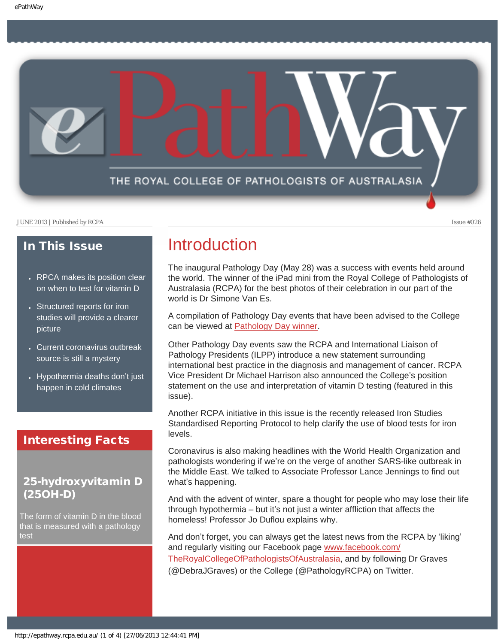

### In This Issue

- [RPCA makes its position clear](#page-1-0) [on when to test for vitamin D](#page-1-0)
- Structured reports for iron [studies will provide a clearer](#page-1-1) [picture](#page-1-1)
- [Current coronavirus outbreak](#page-2-0) [source is still a mystery](#page-2-0)
- [Hypothermia deaths don](#page-2-1)'t just [happen in cold climates](#page-2-1)

### Interesting Facts

### 25-hydroxyvitamin D (25OH-D)

The form of vitamin D in the blood that is measured with a pathology test

## Introduction

The inaugural Pathology Day (May 28) was a success with events held around the world. The winner of the iPad mini from the Royal College of Pathologists of Australasia (RCPA) for the best photos of their celebration in our part of the world is Dr Simone Van Es.

A compilation of Pathology Day events that have been advised to the College can be viewed at [Pathology Day winner.](http://www.rcpa.edu.au/static/file/Asset%20library/public%20documents/Events/Pathology_Day/Pathology%20Day.pdf)

Other Pathology Day events saw the RCPA and International Liaison of Pathology Presidents (ILPP) introduce a new statement surrounding international best practice in the diagnosis and management of cancer. RCPA Vice President Dr Michael Harrison also announced the College's position statement on the use and interpretation of vitamin D testing (featured in this issue).

Another RCPA initiative in this issue is the recently released Iron Studies Standardised Reporting Protocol to help clarify the use of blood tests for iron levels.

Coronavirus is also making headlines with the World Health Organization and pathologists wondering if we're on the verge of another SARS-like outbreak in the Middle East. We talked to Associate Professor Lance Jennings to find out what's happening.

And with the advent of winter, spare a thought for people who may lose their life through hypothermia – but it's not just a winter affliction that affects the homeless! Professor Jo Duflou explains why.

And don't forget, you can always get the latest news from the RCPA by 'liking' and regularly visiting our Facebook page [www.facebook.com/](http://www.facebook.com/TheRoyalCollegeOfPathologistsOfAustralasia) [TheRoyalCollegeOfPathologistsOfAustralasia](http://www.facebook.com/TheRoyalCollegeOfPathologistsOfAustralasia), and by following Dr Graves (@DebraJGraves) or the College (@PathologyRCPA) on Twitter.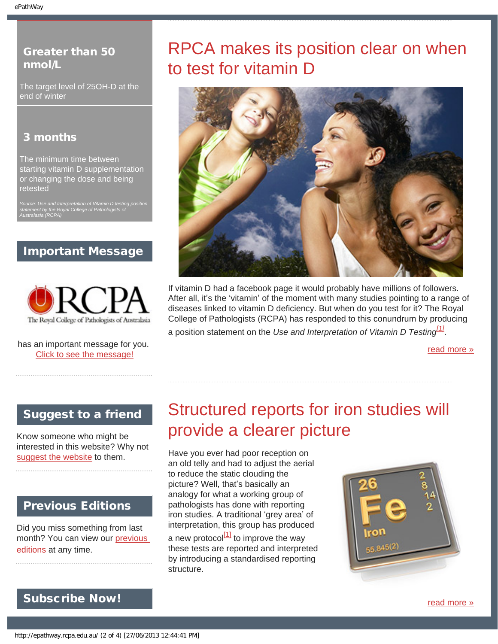### <span id="page-1-0"></span>Greater than 50 nmol/L

The target level of 25OH-D at the end of winter

### 3 months

The minimum time between starting vitamin D supplementation or changing the dose and being retested

*Source: Use and Interpretation of Vitamin D testing position statement by the Royal College of Pathologists of Australasia (RCPA)*

### Important Message



has an important message for you. [Click to see the message!](#page-4-0)

# RPCA makes its position clear on when to test for vitamin D



If vitamin D had a facebook page it would probably have millions of followers. After all, it's the 'vitamin' of the moment with many studies pointing to a range of diseases linked to vitamin D deficiency. But when do you test for it? The Royal College of Pathologists (RCPA) has responded to this conundrum by producing a position statement on the *Use and Interpretation of Vitamin D Testing[1]*.

[read more »](#page-7-0)

### <span id="page-1-1"></span>Suggest to a friend

Know someone who might be interested in this website? Why not [suggest the website](mailto:?Subject=I%20think%20you%20should%20read%20this%20Newsletter=
http://epathway.rcpa.edu.au/index.html) to them.

### Previous Editions

Did you miss something from last month? You can view our [previous](#page-5-0)  [editions](#page-5-0) at any time.

# Structured reports for iron studies will provide a clearer picture

Have you ever had poor reception on an old telly and had to adjust the aerial to reduce the static clouding the picture? Well, that's basically an analogy for what a working group of pathologists has done with reporting iron studies. A traditional 'grey area' of interpretation, this group has produced a new protocol $\left[1\right]$  to improve the way these tests are reported and interpreted by introducing a standardised reporting structure.



## Subscribe Now!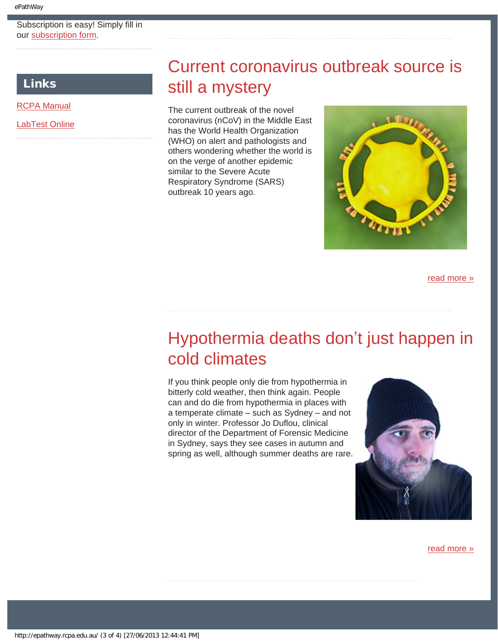#### Subscription is easy! Simply fill in our [subscription form.](http://epathway.rcpa.edu.au/subscription.html)

### <span id="page-2-0"></span>Links

[RCPA Manual](http://rcpamanual.edu.au/)

[LabTest Online](http://www.labtestsonline.org.au/)

# Current coronavirus outbreak source is still a mystery

The current outbreak of the novel coronavirus (nCoV) in the Middle East has the World Health Organization (WHO) on alert and pathologists and others wondering whether the world is on the verge of another epidemic similar to the Severe Acute Respiratory Syndrome (SARS) outbreak 10 years ago.



[read more »](#page-11-0)

# <span id="page-2-1"></span>Hypothermia deaths don't just happen in cold climates

If you think people only die from hypothermia in bitterly cold weather, then think again. People can and do die from hypothermia in places with a temperate climate – such as Sydney – and not only in winter. Professor Jo Duflou, clinical director of the Department of Forensic Medicine in Sydney, says they see cases in autumn and spring as well, although summer deaths are rare.



[read more »](#page-13-0)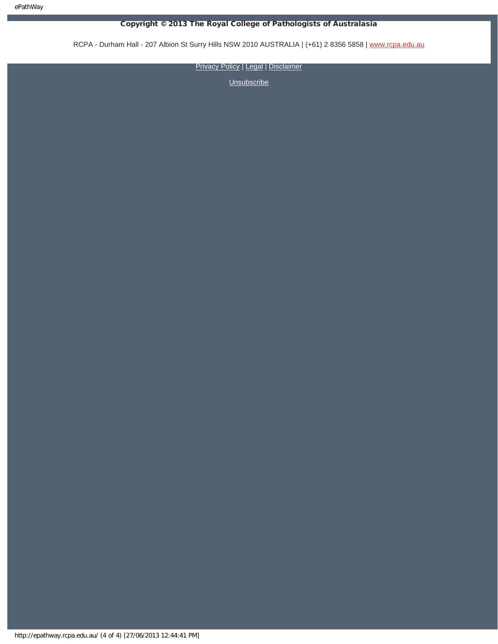#### Copyright © 2013 The Royal College of Pathologists of Australasia

RCPA - Durham Hall - 207 Albion St Surry Hills NSW 2010 AUSTRALIA | (+61) 2 8356 5858 | [www.rcpa.edu.au](http://www.rcpa.edu.au/)

**[Privacy Policy](http://www.rcpa.edu.au/Privacy.htm) | [Legal](http://www.rcpa.edu.au/Legal.htm) | [Disclaimer](http://www.rcpa.edu.au/Disclaimer.htm)**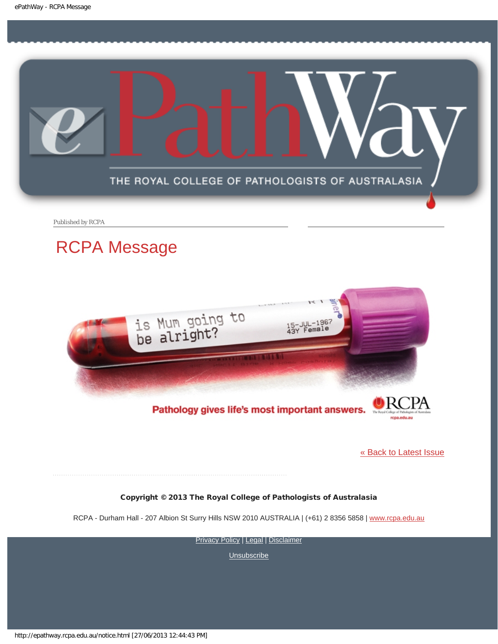<span id="page-4-0"></span>

Published by RCPA

# RCPA Message



### Pathology gives life's most important answers.

[« Back to Latest Issue](http://epathway.rcpa.edu.au/index.html)

rcpa.edu.au

#### Copyright © 2013 The Royal College of Pathologists of Australasia

RCPA - Durham Hall - 207 Albion St Surry Hills NSW 2010 AUSTRALIA | (+61) 2 8356 5858 | [www.rcpa.edu.au](http://www.rcpa.edu.au/)

[Privacy Policy](http://www.rcpa.edu.au/Privacy.htm) | [Legal](http://www.rcpa.edu.au/Legal.htm) | [Disclaimer](http://www.rcpa.edu.au/Disclaimer.htm)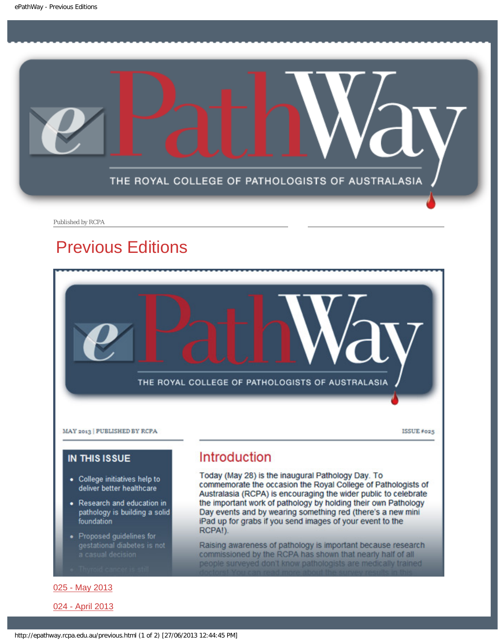<span id="page-5-0"></span>

Published by RCPA

# Previous Editions



[025 - May 2013](http://epathway.rcpa.edu.au/previous/025_0513.pdf)

[024 - April 2013](http://epathway.rcpa.edu.au/previous/024_0413.pdf)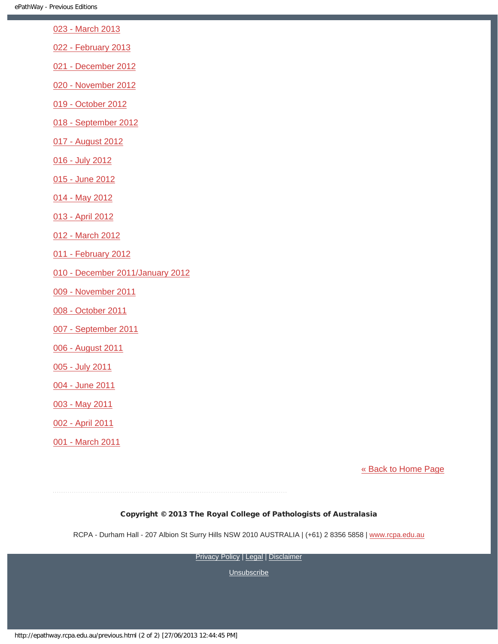- [023 March 2013](http://epathway.rcpa.edu.au/previous/023_0313.pdf)
- [022 February 2013](http://epathway.rcpa.edu.au/previous/022_0213.pdf)
- [021 December 2012](http://epathway.rcpa.edu.au/previous/021_1212.pdf)
- [020 November 2012](http://epathway.rcpa.edu.au/previous/020_1112.pdf)
- [019 October 2012](http://epathway.rcpa.edu.au/previous/019_1012.pdf)
- [018 September 2012](http://epathway.rcpa.edu.au/previous/018_0912.pdf)
- [017 August 2012](http://epathway.rcpa.edu.au/previous/017_0812.pdf)
- [016 July 2012](http://epathway.rcpa.edu.au/previous/016_0712.pdf)
- [015 June 2012](http://epathway.rcpa.edu.au/previous/015_0612.pdf)
- [014 May 2012](http://epathway.rcpa.edu.au/previous/014_0512.pdf)
- [013 April 2012](http://epathway.rcpa.edu.au/previous/013_0412.pdf)
- [012 March 2012](http://epathway.rcpa.edu.au/previous/012_0312.pdf)
- [011 February 2012](http://epathway.rcpa.edu.au/previous/011_0212.pdf)
- [010 December 2011/January 2012](http://epathway.rcpa.edu.au/previous/010_0112.pdf)
- [009 November 2011](http://epathway.rcpa.edu.au/previous/009_1111.pdf)
- [008 October 2011](http://epathway.rcpa.edu.au/previous/008_1011.pdf)
- [007 September 2011](http://epathway.rcpa.edu.au/previous/007_0911.pdf)
- [006 August 2011](http://epathway.rcpa.edu.au/previous/006_0811.pdf)
- [005 July 2011](http://epathway.rcpa.edu.au/previous/005_0711.pdf)
- [004 June 2011](http://epathway.rcpa.edu.au/previous/004_0611.pdf)
- [003 May 2011](http://epathway.rcpa.edu.au/previous/003_0511.pdf)
- [002 April 2011](http://epathway.rcpa.edu.au/previous/002_0411.pdf)
- [001 March 2011](http://epathway.rcpa.edu.au/previous/001_0311.pdf)

#### [« Back to Home Page](http://epathway.rcpa.edu.au/index.html)

#### Copyright © 2013 The Royal College of Pathologists of Australasia

RCPA - Durham Hall - 207 Albion St Surry Hills NSW 2010 AUSTRALIA | (+61) 2 8356 5858 | [www.rcpa.edu.au](http://www.rcpa.edu.au/)

[Privacy Policy](http://www.rcpa.edu.au/Privacy.htm) | [Legal](http://www.rcpa.edu.au/Legal.htm) | [Disclaimer](http://www.rcpa.edu.au/Disclaimer.htm)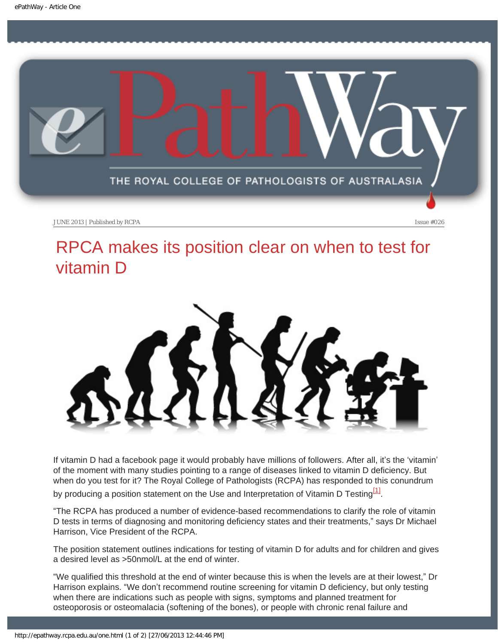<span id="page-7-0"></span>

# RPCA makes its position clear on when to test for vitamin D



If vitamin D had a facebook page it would probably have millions of followers. After all, it's the 'vitamin' of the moment with many studies pointing to a range of diseases linked to vitamin D deficiency. But when do you test for it? The Royal College of Pathologists (RCPA) has responded to this conundrum

by producing a position statement on the Use and Interpretation of Vitamin D Testing<sup>[1]</sup>.

"The RCPA has produced a number of evidence-based recommendations to clarify the role of vitamin D tests in terms of diagnosing and monitoring deficiency states and their treatments," says Dr Michael Harrison, Vice President of the RCPA.

The position statement outlines indications for testing of vitamin D for adults and for children and gives a desired level as >50nmol/L at the end of winter.

"We qualified this threshold at the end of winter because this is when the levels are at their lowest," Dr Harrison explains. "We don't recommend routine screening for vitamin D deficiency, but only testing when there are indications such as people with signs, symptoms and planned treatment for osteoporosis or osteomalacia (softening of the bones), or people with chronic renal failure and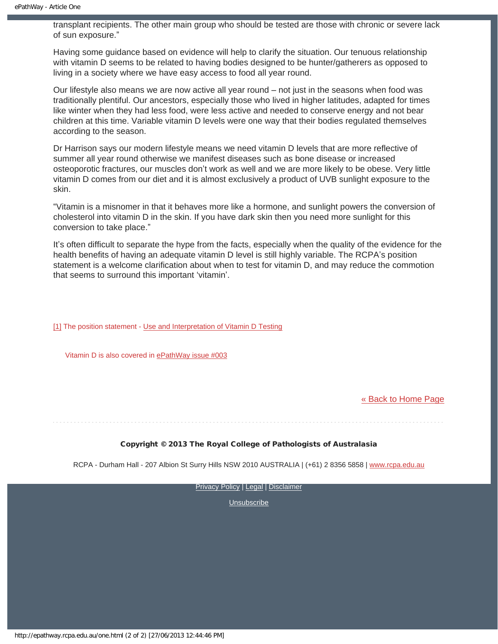transplant recipients. The other main group who should be tested are those with chronic or severe lack of sun exposure."

Having some guidance based on evidence will help to clarify the situation. Our tenuous relationship with vitamin D seems to be related to having bodies designed to be hunter/gatherers as opposed to living in a society where we have easy access to food all year round.

Our lifestyle also means we are now active all year round – not just in the seasons when food was traditionally plentiful. Our ancestors, especially those who lived in higher latitudes, adapted for times like winter when they had less food, were less active and needed to conserve energy and not bear children at this time. Variable vitamin D levels were one way that their bodies regulated themselves according to the season.

Dr Harrison says our modern lifestyle means we need vitamin D levels that are more reflective of summer all year round otherwise we manifest diseases such as bone disease or increased osteoporotic fractures, our muscles don't work as well and we are more likely to be obese. Very little vitamin D comes from our diet and it is almost exclusively a product of UVB sunlight exposure to the skin.

"Vitamin is a misnomer in that it behaves more like a hormone, and sunlight powers the conversion of cholesterol into vitamin D in the skin. If you have dark skin then you need more sunlight for this conversion to take place."

It's often difficult to separate the hype from the facts, especially when the quality of the evidence for the health benefits of having an adequate vitamin D level is still highly variable. The RCPA's position statement is a welcome clarification about when to test for vitamin D, and may reduce the commotion that seems to surround this important 'vitamin'.

[1] The position statement - [Use and Interpretation of Vitamin D Testing](http://www.rcpa.edu.au//static/file/Asset%20library/public%20documents/Policy%20Manual/Position%20Statements/Use%20and%20Interpretation%20of%20Vitamin%20D%20Testing.pdf)

Vitamin D is also covered in [ePathWay issue #003](http://epathway.rcpa.edu.au/previous/003_0511.pdf)

#### [« Back to Home Page](http://epathway.rcpa.edu.au/index.html)

#### Copyright © 2013 The Royal College of Pathologists of Australasia

RCPA - Durham Hall - 207 Albion St Surry Hills NSW 2010 AUSTRALIA | (+61) 2 8356 5858 | [www.rcpa.edu.au](http://www.rcpa.edu.au/)

[Privacy Policy](http://www.rcpa.edu.au/Privacy.htm) | [Legal](http://www.rcpa.edu.au/Legal.htm) | [Disclaimer](http://www.rcpa.edu.au/Disclaimer.htm)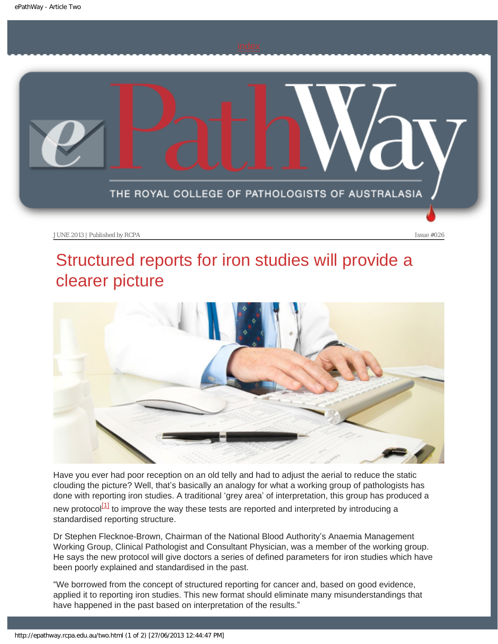<span id="page-9-0"></span>

# Structured reports for iron studies will provide a clearer picture



Have you ever had poor reception on an old telly and had to adjust the aerial to reduce the static clouding the picture? Well, that's basically an analogy for what a working group of pathologists has done with reporting iron studies. A traditional 'grey area' of interpretation, this group has produced a

<span id="page-9-1"></span>new protocol $\frac{11}{11}$  to improve the way these tests are reported and interpreted by introducing a standardised reporting structure.

Dr Stephen Flecknoe-Brown, Chairman of the National Blood Authority's Anaemia Management Working Group, Clinical Pathologist and Consultant Physician, was a member of the working group. He says the new protocol will give doctors a series of defined parameters for iron studies which have been poorly explained and standardised in the past.

"We borrowed from the concept of structured reporting for cancer and, based on good evidence, applied it to reporting iron studies. This new format should eliminate many misunderstandings that have happened in the past based on interpretation of the results."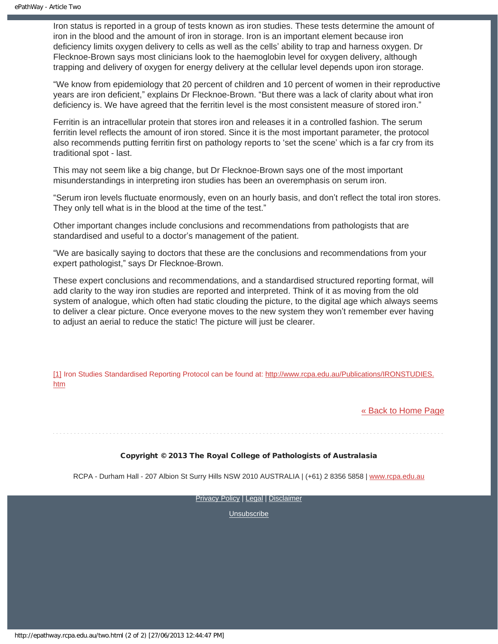Iron status is reported in a group of tests known as iron studies. These tests determine the amount of iron in the blood and the amount of iron in storage. Iron is an important element because iron deficiency limits oxygen delivery to cells as well as the cells' ability to trap and harness oxygen. Dr Flecknoe-Brown says most clinicians look to the haemoglobin level for oxygen delivery, although trapping and delivery of oxygen for energy delivery at the cellular level depends upon iron storage.

"We know from epidemiology that 20 percent of children and 10 percent of women in their reproductive years are iron deficient," explains Dr Flecknoe-Brown. "But there was a lack of clarity about what iron deficiency is. We have agreed that the ferritin level is the most consistent measure of stored iron."

Ferritin is an intracellular protein that stores iron and releases it in a controlled fashion. The serum ferritin level reflects the amount of iron stored. Since it is the most important parameter, the protocol also recommends putting ferritin first on pathology reports to 'set the scene' which is a far cry from its traditional spot - last.

This may not seem like a big change, but Dr Flecknoe-Brown says one of the most important misunderstandings in interpreting iron studies has been an overemphasis on serum iron.

"Serum iron levels fluctuate enormously, even on an hourly basis, and don't reflect the total iron stores. They only tell what is in the blood at the time of the test."

Other important changes include conclusions and recommendations from pathologists that are standardised and useful to a doctor's management of the patient.

"We are basically saying to doctors that these are the conclusions and recommendations from your expert pathologist," says Dr Flecknoe-Brown.

These expert conclusions and recommendations, and a standardised structured reporting format, will add clarity to the way iron studies are reported and interpreted. Think of it as moving from the old system of analogue, which often had static clouding the picture, to the digital age which always seems to deliver a clear picture. Once everyone moves to the new system they won't remember ever having to adjust an aerial to reduce the static! The picture will just be clearer.

<span id="page-10-0"></span>[\[1\]](#page-9-1) Iron Studies Standardised Reporting Protocol can be found at: [http://www.rcpa.edu.au/Publications/IRONSTUDIES.](http://www.rcpa.edu.au/Publications/IRONSTUDIES.htm) [htm](http://www.rcpa.edu.au/Publications/IRONSTUDIES.htm)

[« Back to Home Page](http://epathway.rcpa.edu.au/index.html)

#### Copyright © 2013 The Royal College of Pathologists of Australasia

RCPA - Durham Hall - 207 Albion St Surry Hills NSW 2010 AUSTRALIA | (+61) 2 8356 5858 | [www.rcpa.edu.au](http://www.rcpa.edu.au/)

**[Privacy Policy](http://www.rcpa.edu.au/Privacy.htm) | [Legal](http://www.rcpa.edu.au/Legal.htm) | [Disclaimer](http://www.rcpa.edu.au/Disclaimer.htm)**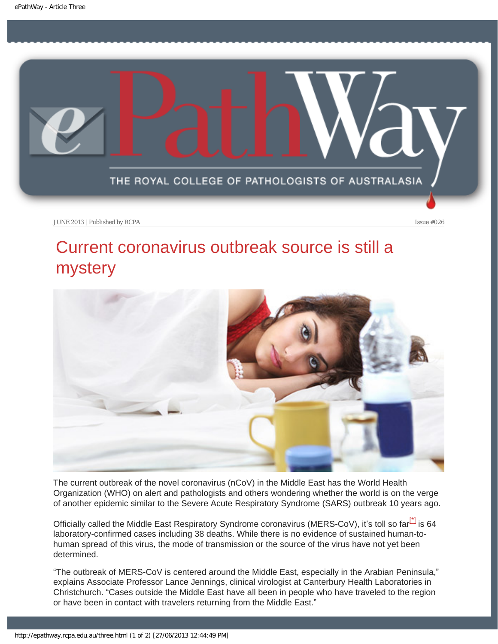<span id="page-11-0"></span>

# Current coronavirus outbreak source is still a mystery



The current outbreak of the novel coronavirus (nCoV) in the Middle East has the World Health Organization (WHO) on alert and pathologists and others wondering whether the world is on the verge of another epidemic similar to the Severe Acute Respiratory Syndrome (SARS) outbreak 10 years ago.

<span id="page-11-1"></span>Officially called the Middle East Respiratory Syndrome coronavirus (MERS-CoV), it's toll so far<sup>[\*</sup>] is 64 laboratory-confirmed cases including 38 deaths. While there is no evidence of sustained human-tohuman spread of this virus, the mode of transmission or the source of the virus have not yet been determined.

"The outbreak of MERS-CoV is centered around the Middle East, especially in the Arabian Peninsula," explains Associate Professor Lance Jennings, clinical virologist at Canterbury Health Laboratories in Christchurch. "Cases outside the Middle East have all been in people who have traveled to the region or have been in contact with travelers returning from the Middle East."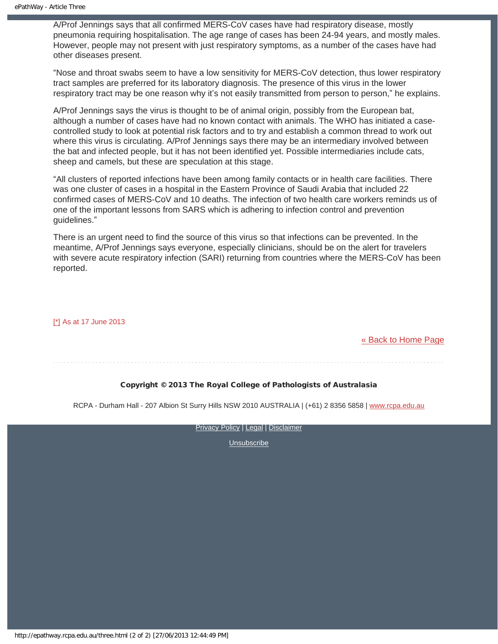A/Prof Jennings says that all confirmed MERS-CoV cases have had respiratory disease, mostly pneumonia requiring hospitalisation. The age range of cases has been 24-94 years, and mostly males. However, people may not present with just respiratory symptoms, as a number of the cases have had other diseases present.

"Nose and throat swabs seem to have a low sensitivity for MERS-CoV detection, thus lower respiratory tract samples are preferred for its laboratory diagnosis. The presence of this virus in the lower respiratory tract may be one reason why it's not easily transmitted from person to person," he explains.

A/Prof Jennings says the virus is thought to be of animal origin, possibly from the European bat, although a number of cases have had no known contact with animals. The WHO has initiated a casecontrolled study to look at potential risk factors and to try and establish a common thread to work out where this virus is circulating. A/Prof Jennings says there may be an intermediary involved between the bat and infected people, but it has not been identified yet. Possible intermediaries include cats, sheep and camels, but these are speculation at this stage.

"All clusters of reported infections have been among family contacts or in health care facilities. There was one cluster of cases in a hospital in the Eastern Province of Saudi Arabia that included 22 confirmed cases of MERS-CoV and 10 deaths. The infection of two health care workers reminds us of one of the important lessons from SARS which is adhering to infection control and prevention guidelines."

There is an urgent need to find the source of this virus so that infections can be prevented. In the meantime, A/Prof Jennings says everyone, especially clinicians, should be on the alert for travelers with severe acute respiratory infection (SARI) returning from countries where the MERS-CoV has been reported.

#### <span id="page-12-0"></span>[\[\\*\]](#page-11-1) As at 17 June 2013

[« Back to Home Page](http://epathway.rcpa.edu.au/index.html)

### Copyright © 2013 The Royal College of Pathologists of Australasia

RCPA - Durham Hall - 207 Albion St Surry Hills NSW 2010 AUSTRALIA | (+61) 2 8356 5858 | [www.rcpa.edu.au](http://www.rcpa.edu.au/)

[Privacy Policy](http://www.rcpa.edu.au/Privacy.htm) | [Legal](http://www.rcpa.edu.au/Legal.htm) | [Disclaimer](http://www.rcpa.edu.au/Disclaimer.htm)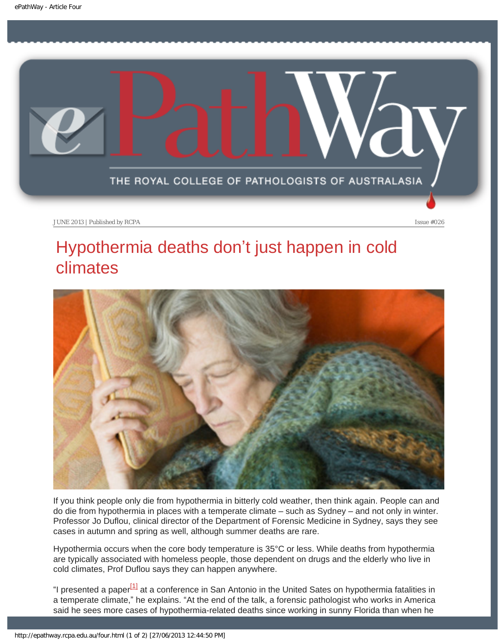<span id="page-13-0"></span>

# Hypothermia deaths don't just happen in cold climates



If you think people only die from hypothermia in bitterly cold weather, then think again. People can and do die from hypothermia in places with a temperate climate – such as Sydney – and not only in winter. Professor Jo Duflou, clinical director of the Department of Forensic Medicine in Sydney, says they see cases in autumn and spring as well, although summer deaths are rare.

Hypothermia occurs when the core body temperature is 35°C or less. While deaths from hypothermia are typically associated with homeless people, those dependent on drugs and the elderly who live in cold climates, Prof Duflou says they can happen anywhere.

<span id="page-13-1"></span>"I presented a paper<sup>[1]</sup> at a conference in San Antonio in the United Sates on hypothermia fatalities in a temperate climate," he explains. "At the end of the talk, a forensic pathologist who works in America said he sees more cases of hypothermia-related deaths since working in sunny Florida than when he